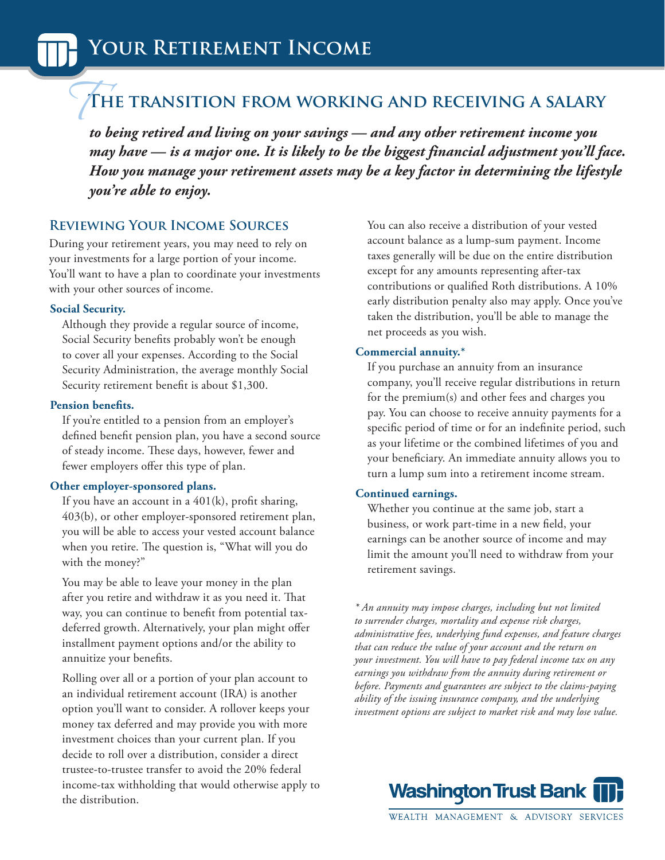# **The transition from working and receiving a salary**  $\sqrt{1}$

*to being retired and living on your savings — and any other retirement income you may have — is a major one. It is likely to be the biggest financial adjustment you'll face. How you manage your retirement assets may be a key factor in determining the lifestyle you're able to enjoy.* 

# **Reviewing Your Income Sources**

During your retirement years, you may need to rely on your investments for a large portion of your income. You'll want to have a plan to coordinate your investments with your other sources of income.

## **Social Security.**

Although they provide a regular source of income, Social Security benefits probably won't be enough to cover all your expenses. According to the Social Security Administration, the average monthly Social Security retirement benefit is about \$1,300.

## **Pension benefits.**

If you're entitled to a pension from an employer's defined benefit pension plan, you have a second source of steady income. These days, however, fewer and fewer employers offer this type of plan.

# **Other employer-sponsored plans.**

If you have an account in a  $401(k)$ , profit sharing, 403(b), or other employer-sponsored retirement plan, you will be able to access your vested account balance when you retire. The question is, "What will you do with the money?"

You may be able to leave your money in the plan after you retire and withdraw it as you need it. That way, you can continue to benefit from potential taxdeferred growth. Alternatively, your plan might offer installment payment options and/or the ability to annuitize your benefits.

Rolling over all or a portion of your plan account to an individual retirement account (IRA) is another option you'll want to consider. A rollover keeps your money tax deferred and may provide you with more investment choices than your current plan. If you decide to roll over a distribution, consider a direct trustee-to-trustee transfer to avoid the 20% federal income-tax withholding that would otherwise apply to the distribution.

You can also receive a distribution of your vested account balance as a lump-sum payment. Income taxes generally will be due on the entire distribution except for any amounts representing after-tax contributions or qualified Roth distributions. A 10% early distribution penalty also may apply. Once you've taken the distribution, you'll be able to manage the net proceeds as you wish.

# **Commercial annuity.\***

If you purchase an annuity from an insurance company, you'll receive regular distributions in return for the premium(s) and other fees and charges you pay. You can choose to receive annuity payments for a specific period of time or for an indefinite period, such as your lifetime or the combined lifetimes of you and your beneficiary. An immediate annuity allows you to turn a lump sum into a retirement income stream.

# **Continued earnings.**

Whether you continue at the same job, start a business, or work part-time in a new field, your earnings can be another source of income and may limit the amount you'll need to withdraw from your retirement savings.

*\* An annuity may impose charges, including but not limited to surrender charges, mortality and expense risk charges, administrative fees, underlying fund expenses, and feature charges that can reduce the value of your account and the return on your investment. You will have to pay federal income tax on any earnings you withdraw from the annuity during retirement or before. Payments and guarantees are subject to the claims-paying ability of the issuing insurance company, and the underlying investment options are subject to market risk and may lose value.*